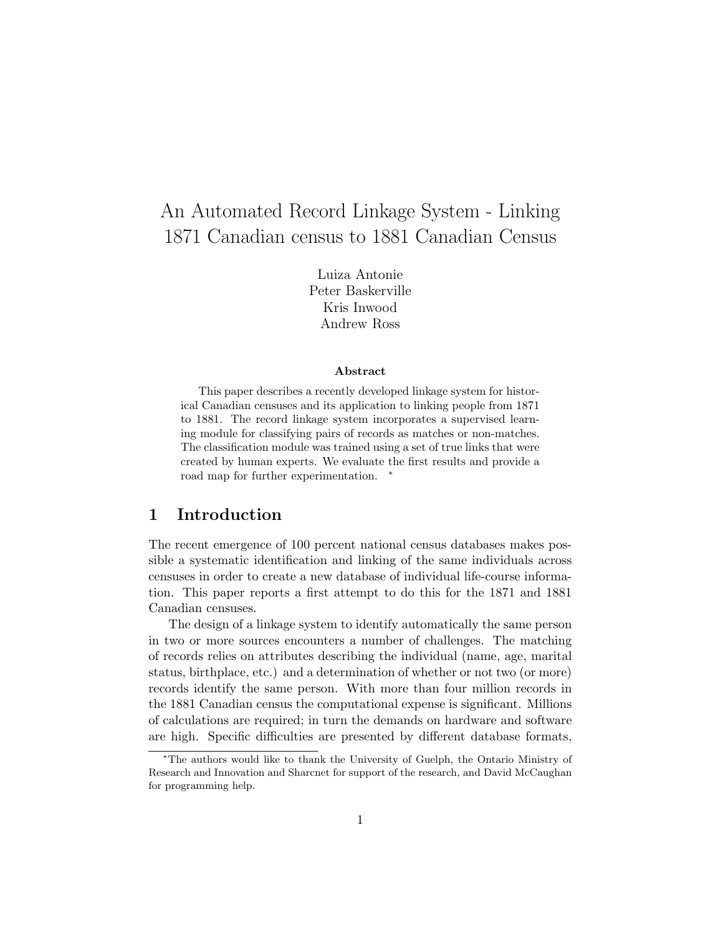# An Automated Record Linkage System - Linking 1871 Canadian census to 1881 Canadian Census

Luiza Antonie Peter Baskerville Kris Inwood Andrew Ross

#### Abstract

This paper describes a recently developed linkage system for historical Canadian censuses and its application to linking people from 1871 to 1881. The record linkage system incorporates a supervised learning module for classifying pairs of records as matches or non-matches. The classification module was trained using a set of true links that were created by human experts. We evaluate the first results and provide a road map for further experimentation. <sup>∗</sup>

### 1 Introduction

The recent emergence of 100 percent national census databases makes possible a systematic identification and linking of the same individuals across censuses in order to create a new database of individual life-course information. This paper reports a first attempt to do this for the 1871 and 1881 Canadian censuses.

The design of a linkage system to identify automatically the same person in two or more sources encounters a number of challenges. The matching of records relies on attributes describing the individual (name, age, marital status, birthplace, etc.) and a determination of whether or not two (or more) records identify the same person. With more than four million records in the 1881 Canadian census the computational expense is significant. Millions of calculations are required; in turn the demands on hardware and software are high. Specific difficulties are presented by different database formats,

<sup>∗</sup>The authors would like to thank the University of Guelph, the Ontario Ministry of Research and Innovation and Sharcnet for support of the research, and David McCaughan for programming help.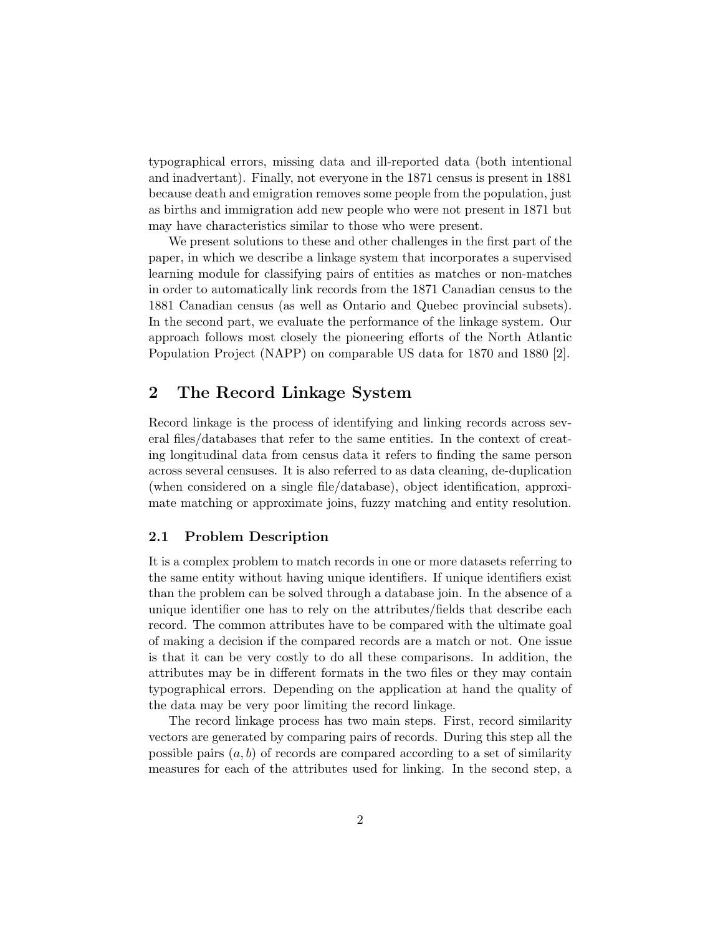typographical errors, missing data and ill-reported data (both intentional and inadvertant). Finally, not everyone in the 1871 census is present in 1881 because death and emigration removes some people from the population, just as births and immigration add new people who were not present in 1871 but may have characteristics similar to those who were present.

We present solutions to these and other challenges in the first part of the paper, in which we describe a linkage system that incorporates a supervised learning module for classifying pairs of entities as matches or non-matches in order to automatically link records from the 1871 Canadian census to the 1881 Canadian census (as well as Ontario and Quebec provincial subsets). In the second part, we evaluate the performance of the linkage system. Our approach follows most closely the pioneering efforts of the North Atlantic Population Project (NAPP) on comparable US data for 1870 and 1880 [2].

### 2 The Record Linkage System

Record linkage is the process of identifying and linking records across several files/databases that refer to the same entities. In the context of creating longitudinal data from census data it refers to finding the same person across several censuses. It is also referred to as data cleaning, de-duplication (when considered on a single file/database), object identification, approximate matching or approximate joins, fuzzy matching and entity resolution.

### 2.1 Problem Description

It is a complex problem to match records in one or more datasets referring to the same entity without having unique identifiers. If unique identifiers exist than the problem can be solved through a database join. In the absence of a unique identifier one has to rely on the attributes/fields that describe each record. The common attributes have to be compared with the ultimate goal of making a decision if the compared records are a match or not. One issue is that it can be very costly to do all these comparisons. In addition, the attributes may be in different formats in the two files or they may contain typographical errors. Depending on the application at hand the quality of the data may be very poor limiting the record linkage.

The record linkage process has two main steps. First, record similarity vectors are generated by comparing pairs of records. During this step all the possible pairs  $(a, b)$  of records are compared according to a set of similarity measures for each of the attributes used for linking. In the second step, a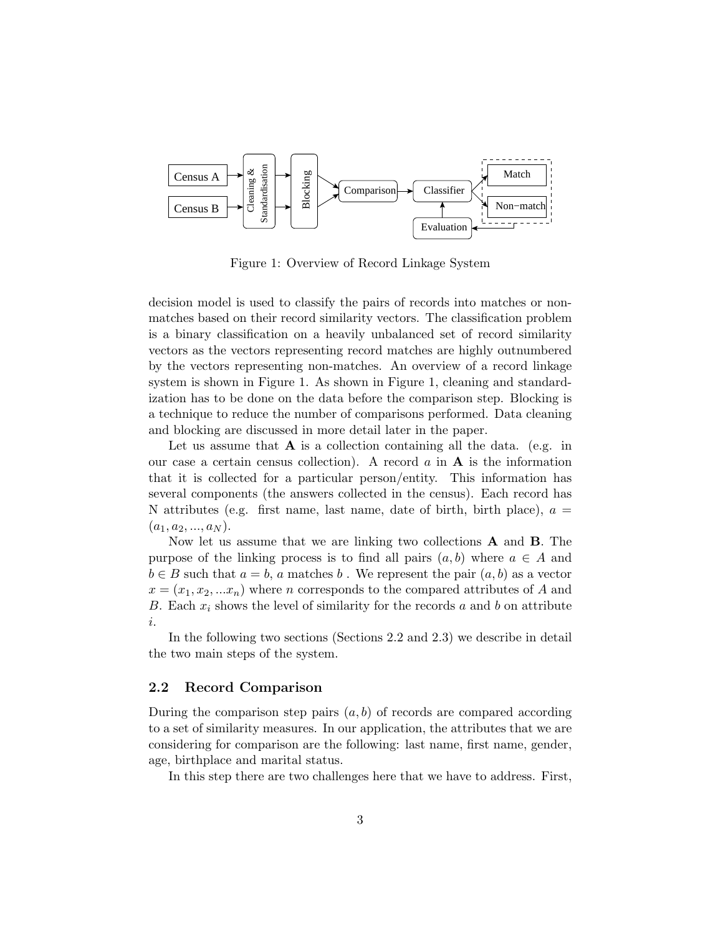

Figure 1: Overview of Record Linkage System

decision model is used to classify the pairs of records into matches or nonmatches based on their record similarity vectors. The classification problem is a binary classification on a heavily unbalanced set of record similarity vectors as the vectors representing record matches are highly outnumbered by the vectors representing non-matches. An overview of a record linkage system is shown in Figure 1. As shown in Figure 1, cleaning and standardization has to be done on the data before the comparison step. Blocking is a technique to reduce the number of comparisons performed. Data cleaning and blocking are discussed in more detail later in the paper.

Let us assume that  $A$  is a collection containing all the data. (e.g. in our case a certain census collection). A record  $a$  in  $A$  is the information that it is collected for a particular person/entity. This information has several components (the answers collected in the census). Each record has N attributes (e.g. first name, last name, date of birth, birth place),  $a =$  $(a_1, a_2, ..., a_N)$ .

Now let us assume that we are linking two collections A and B. The purpose of the linking process is to find all pairs  $(a, b)$  where  $a \in A$  and  $b \in B$  such that  $a = b$ , a matches b. We represent the pair  $(a, b)$  as a vector  $x = (x_1, x_2, ... x_n)$  where *n* corresponds to the compared attributes of A and B. Each  $x_i$  shows the level of similarity for the records a and b on attribute i.

In the following two sections (Sections 2.2 and 2.3) we describe in detail the two main steps of the system.

#### 2.2 Record Comparison

During the comparison step pairs  $(a, b)$  of records are compared according to a set of similarity measures. In our application, the attributes that we are considering for comparison are the following: last name, first name, gender, age, birthplace and marital status.

In this step there are two challenges here that we have to address. First,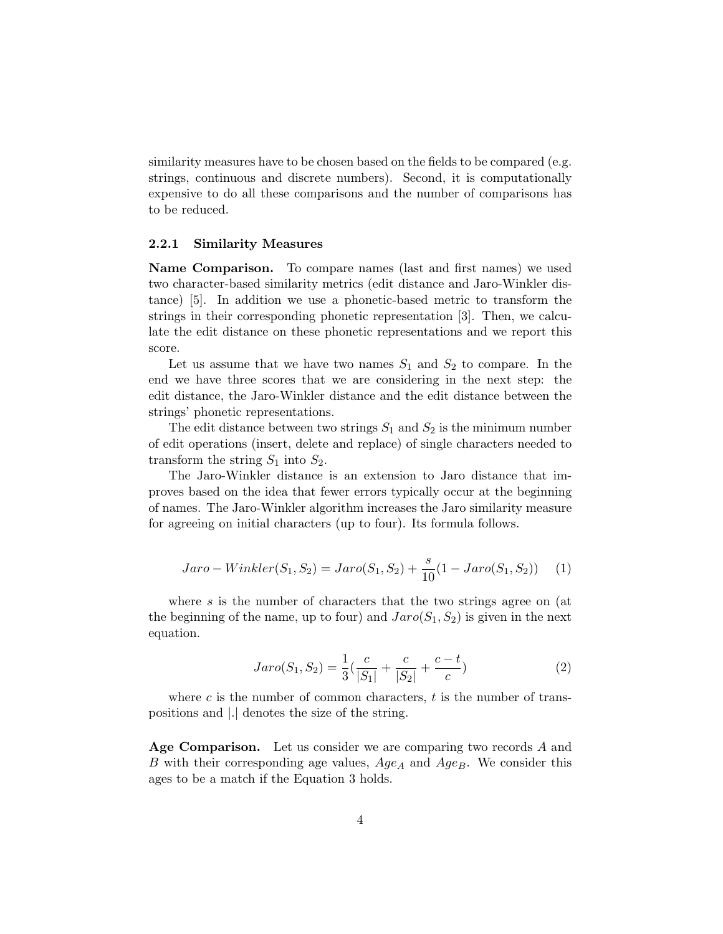similarity measures have to be chosen based on the fields to be compared (e.g. strings, continuous and discrete numbers). Second, it is computationally expensive to do all these comparisons and the number of comparisons has to be reduced.

#### 2.2.1 Similarity Measures

Name Comparison. To compare names (last and first names) we used two character-based similarity metrics (edit distance and Jaro-Winkler distance) [5]. In addition we use a phonetic-based metric to transform the strings in their corresponding phonetic representation [3]. Then, we calculate the edit distance on these phonetic representations and we report this score.

Let us assume that we have two names  $S_1$  and  $S_2$  to compare. In the end we have three scores that we are considering in the next step: the edit distance, the Jaro-Winkler distance and the edit distance between the strings' phonetic representations.

The edit distance between two strings  $S_1$  and  $S_2$  is the minimum number of edit operations (insert, delete and replace) of single characters needed to transform the string  $S_1$  into  $S_2$ .

The Jaro-Winkler distance is an extension to Jaro distance that improves based on the idea that fewer errors typically occur at the beginning of names. The Jaro-Winkler algorithm increases the Jaro similarity measure for agreeing on initial characters (up to four). Its formula follows.

$$
Jaro-Winkler(S_1, S_2) = Jaro(S_1, S_2) + \frac{s}{10}(1 - Jaro(S_1, S_2))
$$
 (1)

where s is the number of characters that the two strings agree on (at the beginning of the name, up to four) and  $Jaro(S_1, S_2)$  is given in the next equation.

$$
Jaro(S_1, S_2) = \frac{1}{3}(\frac{c}{|S_1|} + \frac{c}{|S_2|} + \frac{c - t}{c})
$$
\n(2)

where c is the number of common characters,  $t$  is the number of transpositions and |.| denotes the size of the string.

Age Comparison. Let us consider we are comparing two records A and B with their corresponding age values,  $Age_A$  and  $Age_B$ . We consider this ages to be a match if the Equation 3 holds.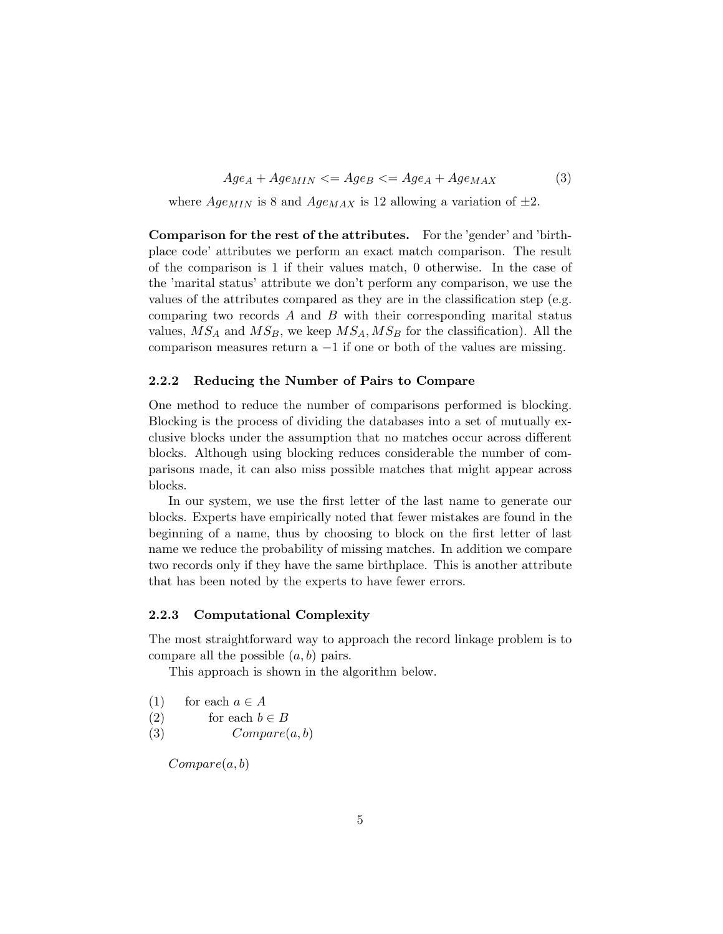$Age_A + Age_{MIN} \leq Age_B \leq Age_A + Age_{MAX}$  (3)

where  $AgenIN$  is 8 and  $AgenAX$  is 12 allowing a variation of  $\pm 2$ .

Comparison for the rest of the attributes. For the 'gender' and 'birthplace code' attributes we perform an exact match comparison. The result of the comparison is 1 if their values match, 0 otherwise. In the case of the 'marital status' attribute we don't perform any comparison, we use the values of the attributes compared as they are in the classification step (e.g. comparing two records  $A$  and  $B$  with their corresponding marital status values,  $MS_A$  and  $MS_B$ , we keep  $MS_A$ ,  $MS_B$  for the classification). All the comparison measures return a  $-1$  if one or both of the values are missing.

#### 2.2.2 Reducing the Number of Pairs to Compare

One method to reduce the number of comparisons performed is blocking. Blocking is the process of dividing the databases into a set of mutually exclusive blocks under the assumption that no matches occur across different blocks. Although using blocking reduces considerable the number of comparisons made, it can also miss possible matches that might appear across blocks.

In our system, we use the first letter of the last name to generate our blocks. Experts have empirically noted that fewer mistakes are found in the beginning of a name, thus by choosing to block on the first letter of last name we reduce the probability of missing matches. In addition we compare two records only if they have the same birthplace. This is another attribute that has been noted by the experts to have fewer errors.

#### 2.2.3 Computational Complexity

The most straightforward way to approach the record linkage problem is to compare all the possible  $(a, b)$  pairs.

This approach is shown in the algorithm below.

- (1) for each  $a \in A$
- (2) for each  $b \in B$
- (3)  $Compare(a, b)$

 $Compare(a, b)$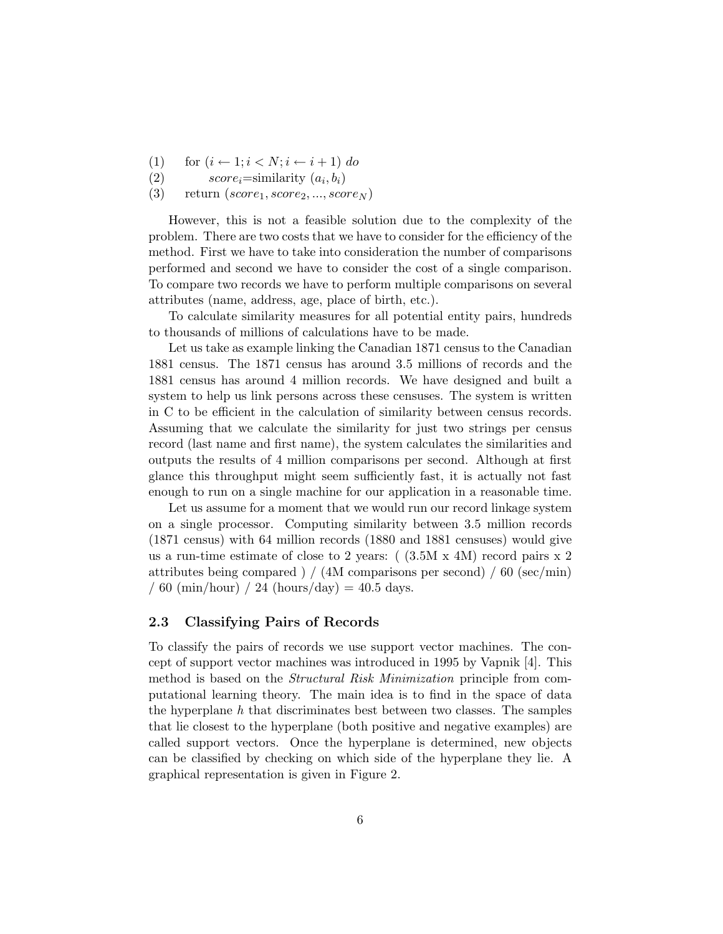- (1) for  $(i \leftarrow 1; i < N; i \leftarrow i + 1)$  do
- (2)  $score_i = similarity(a_i, b_i)$
- (3) return  $(score_1, score_2, ..., score_N)$

However, this is not a feasible solution due to the complexity of the problem. There are two costs that we have to consider for the efficiency of the method. First we have to take into consideration the number of comparisons performed and second we have to consider the cost of a single comparison. To compare two records we have to perform multiple comparisons on several attributes (name, address, age, place of birth, etc.).

To calculate similarity measures for all potential entity pairs, hundreds to thousands of millions of calculations have to be made.

Let us take as example linking the Canadian 1871 census to the Canadian 1881 census. The 1871 census has around 3.5 millions of records and the 1881 census has around 4 million records. We have designed and built a system to help us link persons across these censuses. The system is written in C to be efficient in the calculation of similarity between census records. Assuming that we calculate the similarity for just two strings per census record (last name and first name), the system calculates the similarities and outputs the results of 4 million comparisons per second. Although at first glance this throughput might seem sufficiently fast, it is actually not fast enough to run on a single machine for our application in a reasonable time.

Let us assume for a moment that we would run our record linkage system on a single processor. Computing similarity between 3.5 million records (1871 census) with 64 million records (1880 and 1881 censuses) would give us a run-time estimate of close to 2 years:  $(3.5M \times 4M)$  record pairs x 2 attributes being compared ) / (4M comparisons per second) / 60 (sec/min) / 60 (min/hour) / 24 (hours/day) = 40.5 days.

#### 2.3 Classifying Pairs of Records

To classify the pairs of records we use support vector machines. The concept of support vector machines was introduced in 1995 by Vapnik [4]. This method is based on the *Structural Risk Minimization* principle from computational learning theory. The main idea is to find in the space of data the hyperplane  $h$  that discriminates best between two classes. The samples that lie closest to the hyperplane (both positive and negative examples) are called support vectors. Once the hyperplane is determined, new objects can be classified by checking on which side of the hyperplane they lie. A graphical representation is given in Figure 2.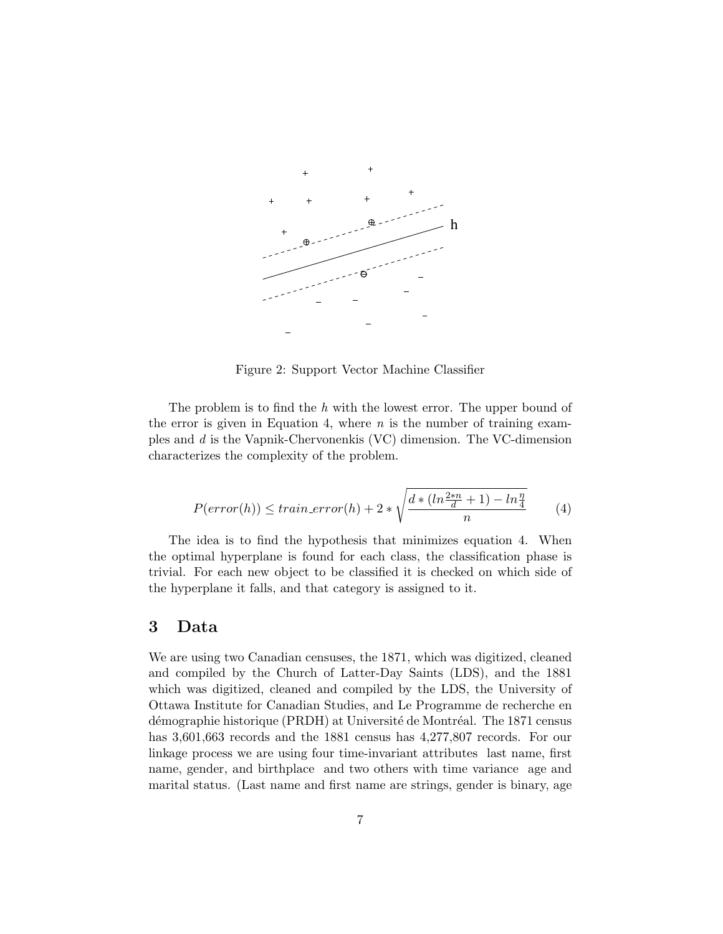

Figure 2: Support Vector Machine Classifier

The problem is to find the  $h$  with the lowest error. The upper bound of the error is given in Equation 4, where  $n$  is the number of training examples and d is the Vapnik-Chervonenkis (VC) dimension. The VC-dimension characterizes the complexity of the problem.

$$
P(error(h)) \leq train\_error(h) + 2 * \sqrt{\frac{d * (ln\frac{2*n}{d} + 1) - ln\frac{\eta}{4}}{n}} \tag{4}
$$

The idea is to find the hypothesis that minimizes equation 4. When the optimal hyperplane is found for each class, the classification phase is trivial. For each new object to be classified it is checked on which side of the hyperplane it falls, and that category is assigned to it.

### 3 Data

We are using two Canadian censuses, the 1871, which was digitized, cleaned and compiled by the Church of Latter-Day Saints (LDS), and the 1881 which was digitized, cleaned and compiled by the LDS, the University of Ottawa Institute for Canadian Studies, and Le Programme de recherche en démographie historique (PRDH) at Université de Montréal. The 1871 census has  $3,601,663$  records and the 1881 census has  $4,277,807$  records. For our linkage process we are using four time-invariant attributes last name, first name, gender, and birthplace and two others with time variance age and marital status. (Last name and first name are strings, gender is binary, age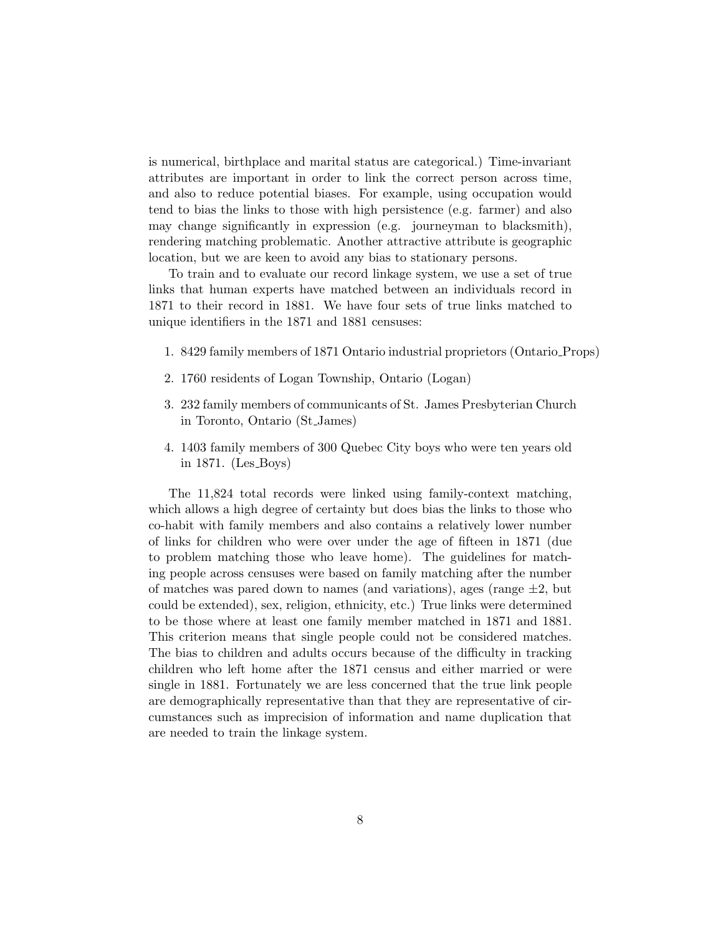is numerical, birthplace and marital status are categorical.) Time-invariant attributes are important in order to link the correct person across time, and also to reduce potential biases. For example, using occupation would tend to bias the links to those with high persistence (e.g. farmer) and also may change significantly in expression (e.g. journeyman to blacksmith), rendering matching problematic. Another attractive attribute is geographic location, but we are keen to avoid any bias to stationary persons.

To train and to evaluate our record linkage system, we use a set of true links that human experts have matched between an individuals record in 1871 to their record in 1881. We have four sets of true links matched to unique identifiers in the 1871 and 1881 censuses:

- 1. 8429 family members of 1871 Ontario industrial proprietors (Ontario Props)
- 2. 1760 residents of Logan Township, Ontario (Logan)
- 3. 232 family members of communicants of St. James Presbyterian Church in Toronto, Ontario (St James)
- 4. 1403 family members of 300 Quebec City boys who were ten years old in 1871. (Les Boys)

The 11,824 total records were linked using family-context matching, which allows a high degree of certainty but does bias the links to those who co-habit with family members and also contains a relatively lower number of links for children who were over under the age of fifteen in 1871 (due to problem matching those who leave home). The guidelines for matching people across censuses were based on family matching after the number of matches was pared down to names (and variations), ages (range  $\pm 2$ , but could be extended), sex, religion, ethnicity, etc.) True links were determined to be those where at least one family member matched in 1871 and 1881. This criterion means that single people could not be considered matches. The bias to children and adults occurs because of the difficulty in tracking children who left home after the 1871 census and either married or were single in 1881. Fortunately we are less concerned that the true link people are demographically representative than that they are representative of circumstances such as imprecision of information and name duplication that are needed to train the linkage system.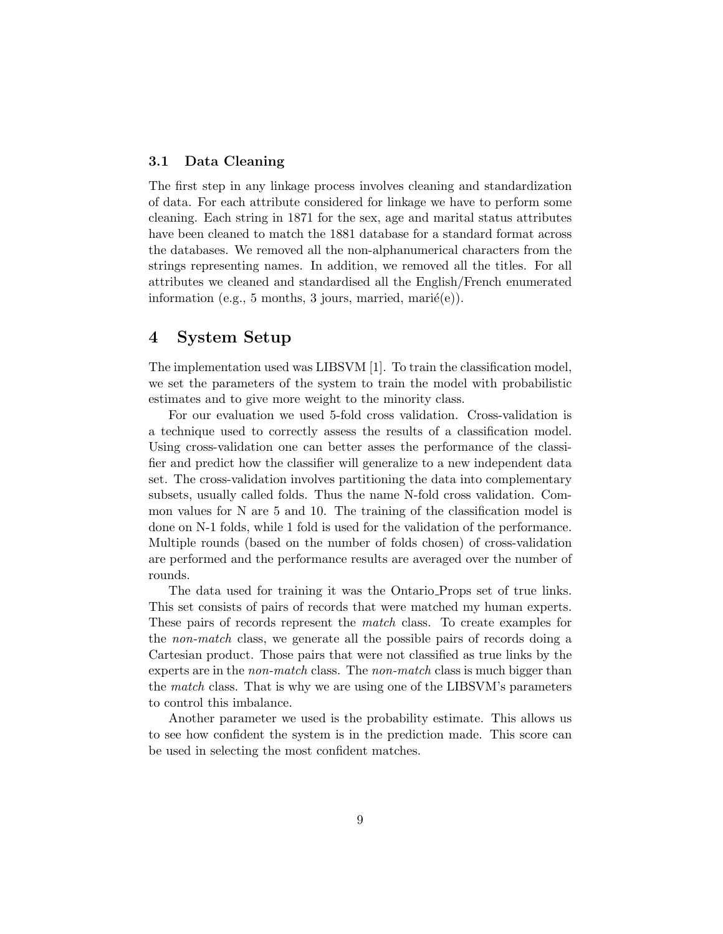### 3.1 Data Cleaning

The first step in any linkage process involves cleaning and standardization of data. For each attribute considered for linkage we have to perform some cleaning. Each string in 1871 for the sex, age and marital status attributes have been cleaned to match the 1881 database for a standard format across the databases. We removed all the non-alphanumerical characters from the strings representing names. In addition, we removed all the titles. For all attributes we cleaned and standardised all the English/French enumerated information (e.g., 5 months, 3 jours, married, mari $\acute{e}$ (e)).

### 4 System Setup

The implementation used was LIBSVM [1]. To train the classification model, we set the parameters of the system to train the model with probabilistic estimates and to give more weight to the minority class.

For our evaluation we used 5-fold cross validation. Cross-validation is a technique used to correctly assess the results of a classification model. Using cross-validation one can better asses the performance of the classifier and predict how the classifier will generalize to a new independent data set. The cross-validation involves partitioning the data into complementary subsets, usually called folds. Thus the name N-fold cross validation. Common values for N are 5 and 10. The training of the classification model is done on N-1 folds, while 1 fold is used for the validation of the performance. Multiple rounds (based on the number of folds chosen) of cross-validation are performed and the performance results are averaged over the number of rounds.

The data used for training it was the Ontario Props set of true links. This set consists of pairs of records that were matched my human experts. These pairs of records represent the match class. To create examples for the non-match class, we generate all the possible pairs of records doing a Cartesian product. Those pairs that were not classified as true links by the experts are in the *non-match* class. The *non-match* class is much bigger than the *match* class. That is why we are using one of the LIBSVM's parameters to control this imbalance.

Another parameter we used is the probability estimate. This allows us to see how confident the system is in the prediction made. This score can be used in selecting the most confident matches.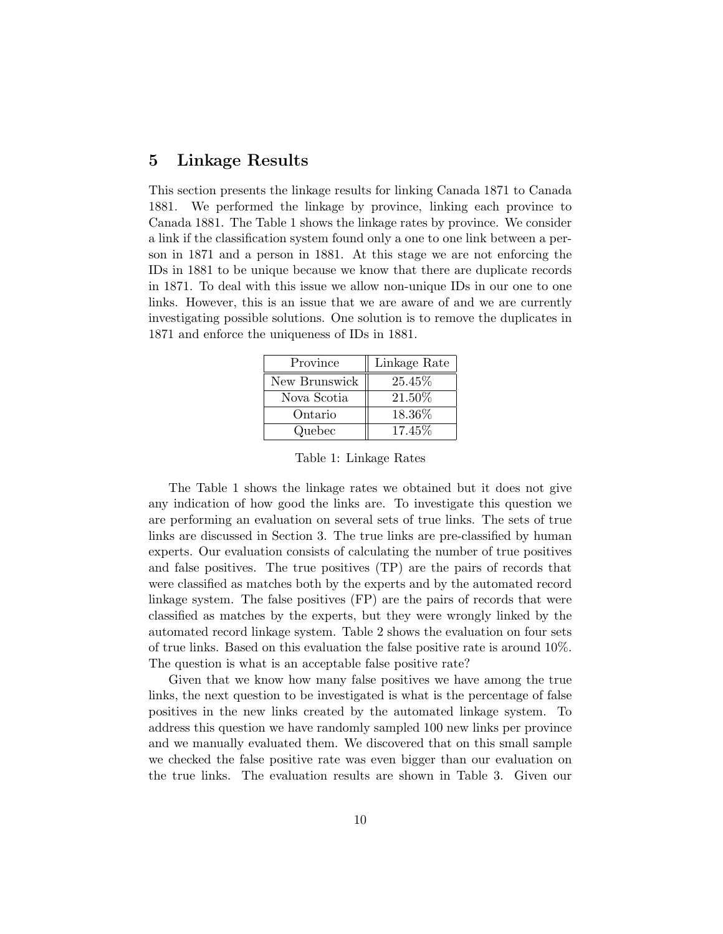### 5 Linkage Results

This section presents the linkage results for linking Canada 1871 to Canada 1881. We performed the linkage by province, linking each province to Canada 1881. The Table 1 shows the linkage rates by province. We consider a link if the classification system found only a one to one link between a person in 1871 and a person in 1881. At this stage we are not enforcing the IDs in 1881 to be unique because we know that there are duplicate records in 1871. To deal with this issue we allow non-unique IDs in our one to one links. However, this is an issue that we are aware of and we are currently investigating possible solutions. One solution is to remove the duplicates in 1871 and enforce the uniqueness of IDs in 1881.

| Province      | Linkage Rate |
|---------------|--------------|
| New Brunswick | 25.45%       |
| Nova Scotia   | 21.50%       |
| Ontario       | 18.36%       |
| Quebec        | 17.45\%      |

Table 1: Linkage Rates

The Table 1 shows the linkage rates we obtained but it does not give any indication of how good the links are. To investigate this question we are performing an evaluation on several sets of true links. The sets of true links are discussed in Section 3. The true links are pre-classified by human experts. Our evaluation consists of calculating the number of true positives and false positives. The true positives (TP) are the pairs of records that were classified as matches both by the experts and by the automated record linkage system. The false positives (FP) are the pairs of records that were classified as matches by the experts, but they were wrongly linked by the automated record linkage system. Table 2 shows the evaluation on four sets of true links. Based on this evaluation the false positive rate is around 10%. The question is what is an acceptable false positive rate?

Given that we know how many false positives we have among the true links, the next question to be investigated is what is the percentage of false positives in the new links created by the automated linkage system. To address this question we have randomly sampled 100 new links per province and we manually evaluated them. We discovered that on this small sample we checked the false positive rate was even bigger than our evaluation on the true links. The evaluation results are shown in Table 3. Given our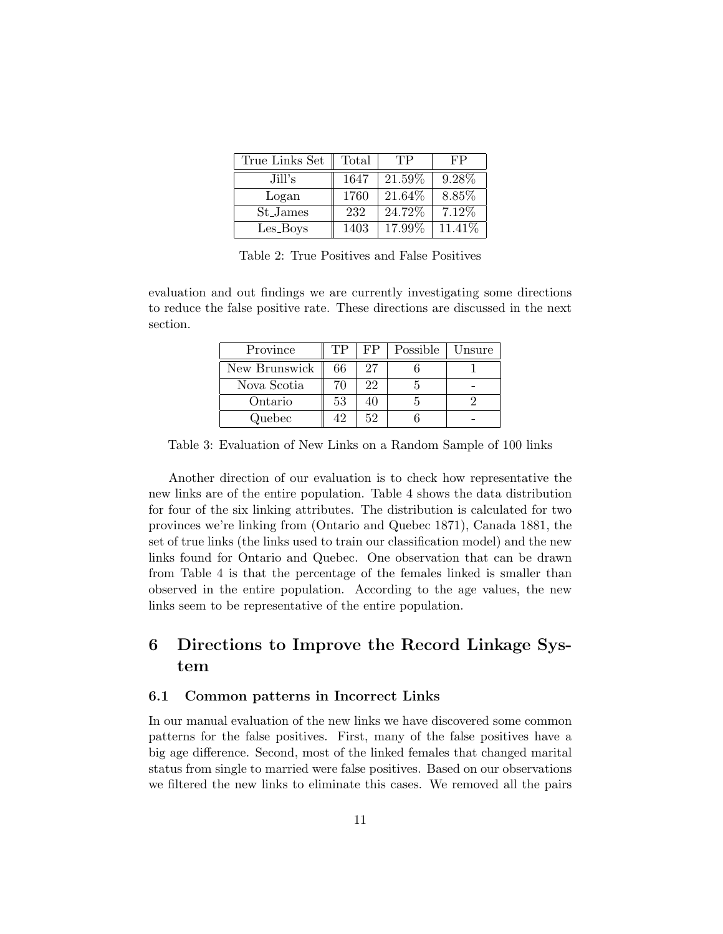| True Links Set | Total | TP     | FP      |
|----------------|-------|--------|---------|
| Jill's         | 1647  | 21.59% | 9.28%   |
| Logan          | 1760  | 21.64% | 8.85%   |
| St_James       | 232   | 24.72% | 7.12%   |
| Les_Boys       | 1403  | 17.99% | 11.41\% |

Table 2: True Positives and False Positives

evaluation and out findings we are currently investigating some directions to reduce the false positive rate. These directions are discussed in the next section.

| Province      | TР | FP | Possible | Unsure |
|---------------|----|----|----------|--------|
| New Brunswick | 66 | 27 |          |        |
| Nova Scotia   | 70 | 22 |          |        |
| Ontario       | 53 |    |          |        |
| Quebec        | 19 | 52 |          |        |

Table 3: Evaluation of New Links on a Random Sample of 100 links

Another direction of our evaluation is to check how representative the new links are of the entire population. Table 4 shows the data distribution for four of the six linking attributes. The distribution is calculated for two provinces we're linking from (Ontario and Quebec 1871), Canada 1881, the set of true links (the links used to train our classification model) and the new links found for Ontario and Quebec. One observation that can be drawn from Table 4 is that the percentage of the females linked is smaller than observed in the entire population. According to the age values, the new links seem to be representative of the entire population.

# 6 Directions to Improve the Record Linkage System

#### 6.1 Common patterns in Incorrect Links

In our manual evaluation of the new links we have discovered some common patterns for the false positives. First, many of the false positives have a big age difference. Second, most of the linked females that changed marital status from single to married were false positives. Based on our observations we filtered the new links to eliminate this cases. We removed all the pairs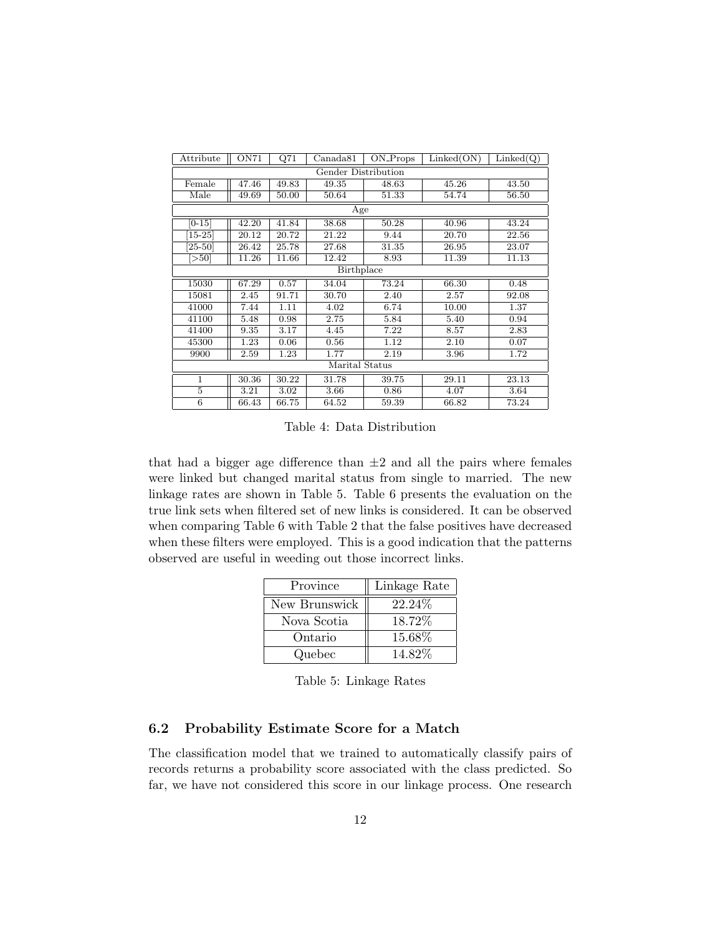| Attribute           | ON71  | Q71   | Canada81 | ON_Props | Linked(ON) | Linked(Q) |
|---------------------|-------|-------|----------|----------|------------|-----------|
| Gender Distribution |       |       |          |          |            |           |
| Female              | 47.46 | 49.83 | 49.35    | 48.63    | 45.26      | 43.50     |
| Male                | 49.69 | 50.00 | 50.64    | 51.33    | 54.74      | 56.50     |
|                     |       |       | Age      |          |            |           |
| $[0 - 15]$          | 42.20 | 41.84 | 38.68    | 50.28    | 40.96      | 43.24     |
| $[15-25]$           | 20.12 | 20.72 | 21.22    | 9.44     | 20.70      | 22.56     |
| $[25 - 50]$         | 26.42 | 25.78 | 27.68    | 31.35    | 26.95      | 23.07     |
| [>50]               | 11.26 | 11.66 | 12.42    | 8.93     | 11.39      | 11.13     |
| <b>Birthplace</b>   |       |       |          |          |            |           |
| 15030               | 67.29 | 0.57  | 34.04    | 73.24    | 66.30      | 0.48      |
| 15081               | 2.45  | 91.71 | 30.70    | 2.40     | 2.57       | 92.08     |
| 41000               | 7.44  | 1.11  | 4.02     | 6.74     | 10.00      | 1.37      |
| 41100               | 5.48  | 0.98  | 2.75     | 5.84     | 5.40       | 0.94      |
| 41400               | 9.35  | 3.17  | 4.45     | 7.22     | 8.57       | 2.83      |
| 45300               | 1.23  | 0.06  | 0.56     | 1.12     | 2.10       | 0.07      |
| 9900                | 2.59  | 1.23  | 1.77     | 2.19     | 3.96       | 1.72      |
| Marital Status      |       |       |          |          |            |           |
| $\mathbf{1}$        | 30.36 | 30.22 | 31.78    | 39.75    | 29.11      | 23.13     |
| $\overline{5}$      | 3.21  | 3.02  | 3.66     | 0.86     | 4.07       | 3.64      |
| 6                   | 66.43 | 66.75 | 64.52    | 59.39    | 66.82      | 73.24     |

Table 4: Data Distribution

that had a bigger age difference than  $\pm 2$  and all the pairs where females were linked but changed marital status from single to married. The new linkage rates are shown in Table 5. Table 6 presents the evaluation on the true link sets when filtered set of new links is considered. It can be observed when comparing Table 6 with Table 2 that the false positives have decreased when these filters were employed. This is a good indication that the patterns observed are useful in weeding out those incorrect links.

| Province      | Linkage Rate |
|---------------|--------------|
| New Brunswick | 22.24\%      |
| Nova Scotia   | 18.72\%      |
| Ontario       | 15.68%       |
| Quebec        | 14.82\%      |

Table 5: Linkage Rates

### 6.2 Probability Estimate Score for a Match

The classification model that we trained to automatically classify pairs of records returns a probability score associated with the class predicted. So far, we have not considered this score in our linkage process. One research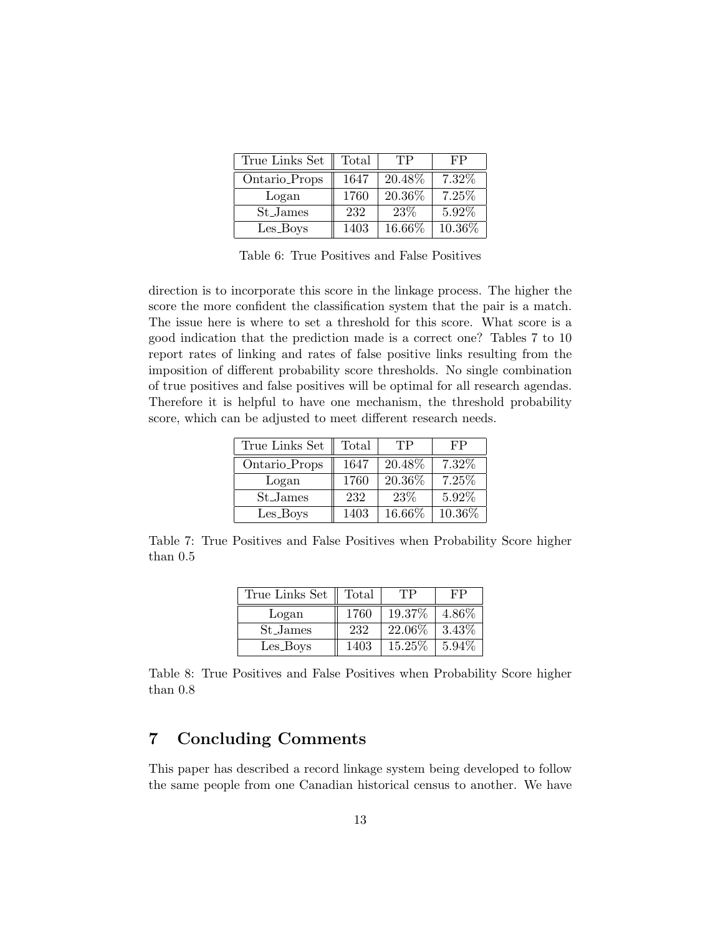| True Links Set | Total | TP     | FP     |
|----------------|-------|--------|--------|
| Ontario_Props  | 1647  | 20.48% | 7.32%  |
| Logan          | 1760  | 20.36% | 7.25%  |
| St_James       | 232   | 23\%   | 5.92%  |
| Les_Boys       | 1403  | 16.66% | 10.36% |

Table 6: True Positives and False Positives

direction is to incorporate this score in the linkage process. The higher the score the more confident the classification system that the pair is a match. The issue here is where to set a threshold for this score. What score is a good indication that the prediction made is a correct one? Tables 7 to 10 report rates of linking and rates of false positive links resulting from the imposition of different probability score thresholds. No single combination of true positives and false positives will be optimal for all research agendas. Therefore it is helpful to have one mechanism, the threshold probability score, which can be adjusted to meet different research needs.

| True Links Set       | Total | TP     | FP     |
|----------------------|-------|--------|--------|
| Ontario_Props        | 1647  | 20.48% | 7.32\% |
| Logan                | 1760  | 20.36% | 7.25%  |
| St <sub>-James</sub> | 232   | 23\%   | 5.92%  |
| Les_Boys             | 1403  | 16.66% | 10.36% |

Table 7: True Positives and False Positives when Probability Score higher than 0.5

| True Links Set | Total | TР     | FP       |
|----------------|-------|--------|----------|
| Logan          | 1760  | 19.37% | 4.86%    |
| St_James       | 232   | 22.06% | 3.43%    |
| Les_Boys       | 1403  | 15.25% | $5.94\%$ |

Table 8: True Positives and False Positives when Probability Score higher than 0.8

## 7 Concluding Comments

This paper has described a record linkage system being developed to follow the same people from one Canadian historical census to another. We have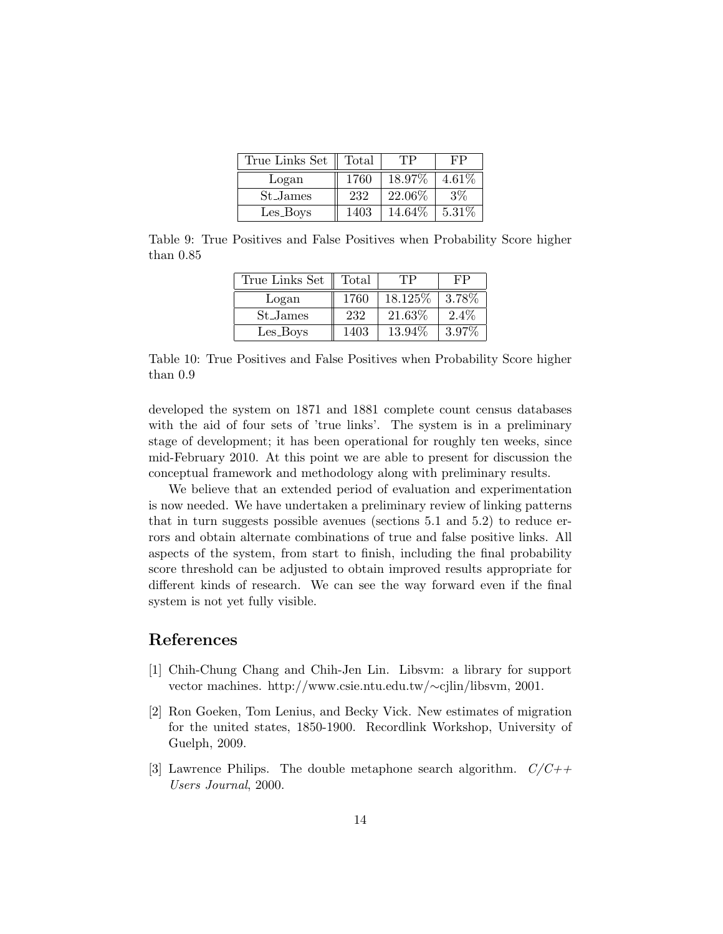| True Links Set | Total | TР      | FΡ.    |
|----------------|-------|---------|--------|
| Logan          | 1760  | 18.97%  | 4.61%  |
| St_James       | 232   | 22.06%  | $3\%$  |
| Les_Boys       | 1403  | 14.64\% | 5.31\% |

Table 9: True Positives and False Positives when Probability Score higher than 0.85

| True Links Set       | Total | TP       | FР      |
|----------------------|-------|----------|---------|
| Logan                | 1760  | 18.125\% | 3.78%   |
| St <sub>-James</sub> | 232   | 21.63%   | $2.4\%$ |
| Les_Boys             | 1403  | 13.94%   | 3.97%   |

Table 10: True Positives and False Positives when Probability Score higher than 0.9

developed the system on 1871 and 1881 complete count census databases with the aid of four sets of 'true links'. The system is in a preliminary stage of development; it has been operational for roughly ten weeks, since mid-February 2010. At this point we are able to present for discussion the conceptual framework and methodology along with preliminary results.

We believe that an extended period of evaluation and experimentation is now needed. We have undertaken a preliminary review of linking patterns that in turn suggests possible avenues (sections 5.1 and 5.2) to reduce errors and obtain alternate combinations of true and false positive links. All aspects of the system, from start to finish, including the final probability score threshold can be adjusted to obtain improved results appropriate for different kinds of research. We can see the way forward even if the final system is not yet fully visible.

### References

- [1] Chih-Chung Chang and Chih-Jen Lin. Libsvm: a library for support vector machines. http://www.csie.ntu.edu.tw/∼cjlin/libsvm, 2001.
- [2] Ron Goeken, Tom Lenius, and Becky Vick. New estimates of migration for the united states, 1850-1900. Recordlink Workshop, University of Guelph, 2009.
- [3] Lawrence Philips. The double metaphone search algorithm.  $C/C++$ Users Journal, 2000.